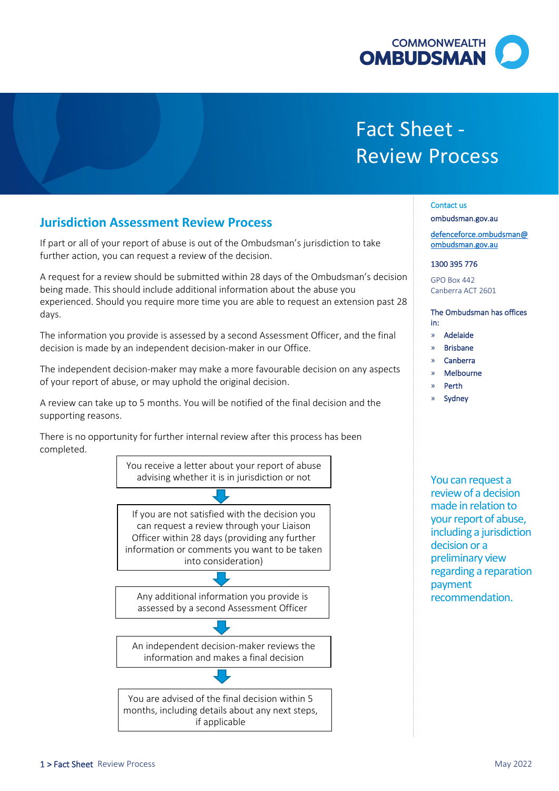

# Fact Sheet - Review Process

## **Jurisdiction Assessment Review Process**

 further action, you can request a review of the decision. If part or all of your report of abuse is out of the Ombudsman's jurisdiction to take

A request for a review should be submitted within 28 days of the Ombudsman's decision being made. This should include additional information about the abuse you experienced. Should you require more time you are able to request an extension past 28 days.

The information you provide is assessed by a second Assessment Officer, and the final decision is made by an independent decision-maker in our Office.

 The independent decision-maker may make a more favourable decision on any aspects of your report of abuse, or may uphold the original decision.

 A review can take up to 5 months. You will be notified of the final decision and the supporting reasons.

 There is no opportunity for further internal review after this process has been completed.

> You receive a letter about your report of abuse advising whether it is in jurisdiction or not

> can request a review through your Liaison If you are not satisfied with the decision you Officer within 28 days (providing any further information or comments you want to be taken into consideration)

bnsideration<br>
ormation<br>
ond Assex Any additional information you provide is assessed by a second Assessment Officer

An independent decision-maker reviews the information and makes a final decision

You are advised of the final decision within 5 months, including details about any next steps, if applicable

Contact us

[ombudsman.gov.au](http://www.ombudsman.gov.au/) 

[defenceforce.ombudsman@](mailto:defenceforce.ombudsman@ombudsman.gov.au)  [ombudsman.gov.au](mailto:defenceforce.ombudsman@ombudsman.gov.au) 

#### 1300 395 776

GPO Box 442 Canberra ACT 2601

The Ombudsman has offices in:

- » Adelaide
- » Brisbane
- » Canberra
- » Melbourne
- » Perth
- **Sydney**

 recommendation. You can request a review of a decision made in relation to your report of abuse, including a jurisdiction decision or a preliminary view regarding a reparation payment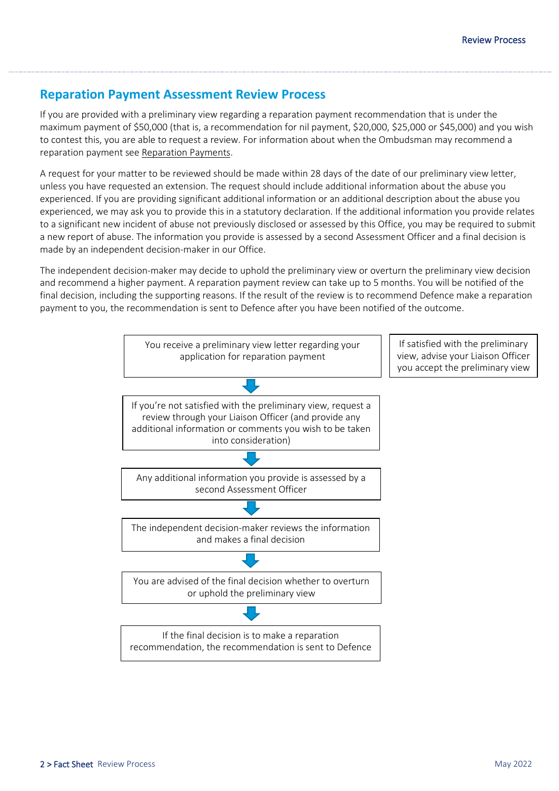# **Reparation Payment Assessment Review Process**

 If you are provided with a preliminary view regarding a reparation payment recommendation that is under the maximum payment of \$50,000 (that is, a recommendation for nil payment, \$20,000, \$25,000 or \$45,000) and you wish to contest this, you are able to request a review. For information about when the Ombudsman may recommend a reparation payment see Reparation Payments.

 A request for your matter to be reviewed should be made within 28 days of the date of our preliminary view letter, experienced, we may ask you to provide this in a statutory declaration. If the additional information you provide relates to a significant new incident of abuse not previously disclosed or assessed by this Office, you may be required to submit a new report of abuse. The information you provide is assessed by a second Assessment Officer and a final decision is made by an independent decision-maker in our Office. unless you have requested an extension. The request should include additional information about the abuse you experienced. If you are providing significant additional information or an additional description about the abuse you

 The independent decision-maker may decide to uphold the preliminary view or overturn the preliminary view decision and recommend a higher payment. A reparation payment review can take up to 5 months. You will be notified of the final decision, including the supporting reasons. If the result of the review is to recommend Defence make a reparation payment to you, the recommendation is sent to Defence after you have been notified of the outcome.